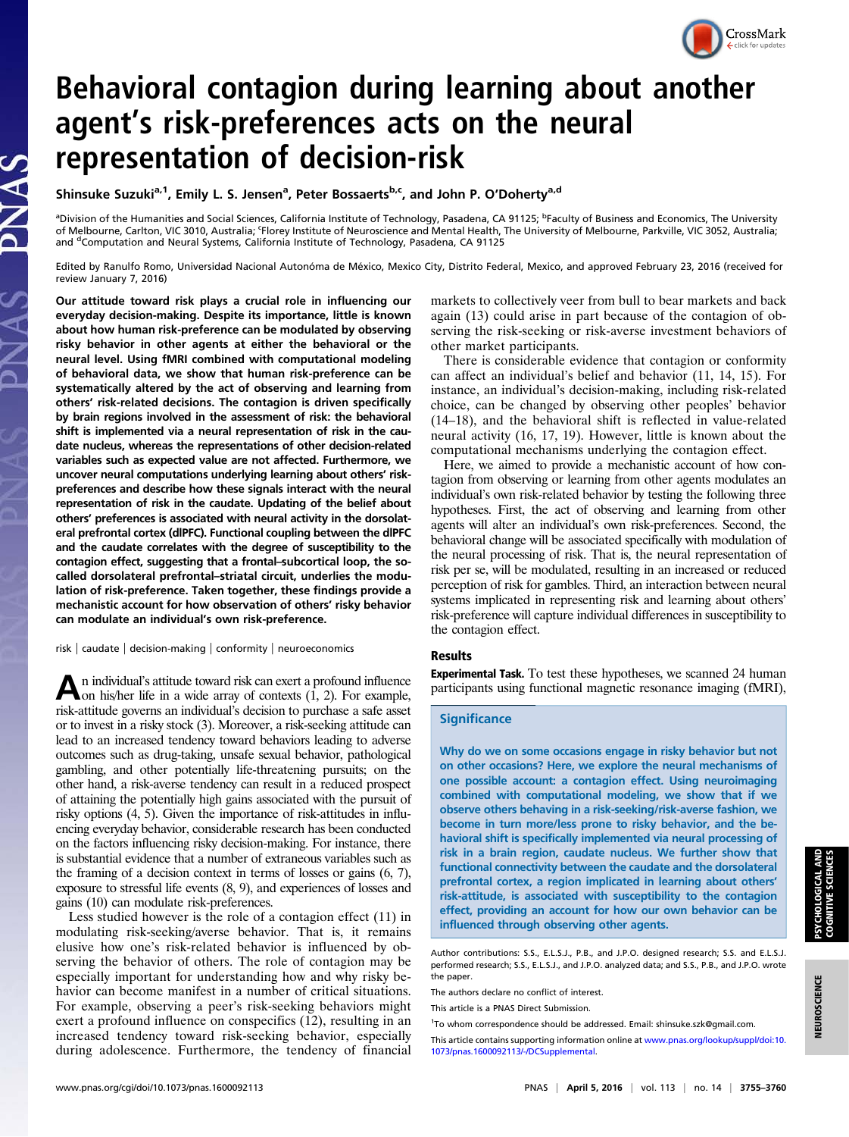# Behavioral contagion during learning about another agent's risk-preferences acts on the neural representation of decision-risk

Shinsuke Suzuki<sup>a, 1</sup>, Emily L. S. Jensen<sup>a</sup>, Peter Bossaerts<sup>b,c</sup>, and John P. O'Doherty<sup>a,d</sup>

<sup>a</sup>Division of the Humanities and Social Sciences, California Institute of Technology, Pasadena, CA 91125; <sup>b</sup>Faculty of Business and Economics, The University<br>of Melbourne, Carlton, VIC 3010, Australia; <sup>c</sup>Florey Institut and <sup>d</sup>Computation and Neural Systems, California Institute of Technology, Pasadena, CA 91125

Edited by Ranulfo Romo, Universidad Nacional Autonóma de México, Mexico City, Distrito Federal, Mexico, and approved February 23, 2016 (received for review January 7, 2016)

Our attitude toward risk plays a crucial role in influencing our everyday decision-making. Despite its importance, little is known about how human risk-preference can be modulated by observing risky behavior in other agents at either the behavioral or the neural level. Using fMRI combined with computational modeling of behavioral data, we show that human risk-preference can be systematically altered by the act of observing and learning from others' risk-related decisions. The contagion is driven specifically by brain regions involved in the assessment of risk: the behavioral shift is implemented via a neural representation of risk in the caudate nucleus, whereas the representations of other decision-related variables such as expected value are not affected. Furthermore, we uncover neural computations underlying learning about others' riskpreferences and describe how these signals interact with the neural representation of risk in the caudate. Updating of the belief about others' preferences is associated with neural activity in the dorsolateral prefrontal cortex (dlPFC). Functional coupling between the dlPFC and the caudate correlates with the degree of susceptibility to the contagion effect, suggesting that a frontal–subcortical loop, the socalled dorsolateral prefrontal–striatal circuit, underlies the modulation of risk-preference. Taken together, these findings provide a mechanistic account for how observation of others' risky behavior can modulate an individual's own risk-preference.

risk | caudate | decision-making | conformity | neuroeconomics

An individual's attitude toward risk can exert a profound influence<br>
on his/her life in a wide array of contexts (1, 2). For example, risk-attitude governs an individual's decision to purchase a safe asset or to invest in a risky stock (3). Moreover, a risk-seeking attitude can lead to an increased tendency toward behaviors leading to adverse outcomes such as drug-taking, unsafe sexual behavior, pathological gambling, and other potentially life-threatening pursuits; on the other hand, a risk-averse tendency can result in a reduced prospect of attaining the potentially high gains associated with the pursuit of risky options (4, 5). Given the importance of risk-attitudes in influencing everyday behavior, considerable research has been conducted on the factors influencing risky decision-making. For instance, there is substantial evidence that a number of extraneous variables such as the framing of a decision context in terms of losses or gains (6, 7), exposure to stressful life events (8, 9), and experiences of losses and gains (10) can modulate risk-preferences.

Less studied however is the role of a contagion effect (11) in modulating risk-seeking/averse behavior. That is, it remains elusive how one's risk-related behavior is influenced by observing the behavior of others. The role of contagion may be especially important for understanding how and why risky behavior can become manifest in a number of critical situations. For example, observing a peer's risk-seeking behaviors might exert a profound influence on conspecifics (12), resulting in an increased tendency toward risk-seeking behavior, especially during adolescence. Furthermore, the tendency of financial markets to collectively veer from bull to bear markets and back again (13) could arise in part because of the contagion of observing the risk-seeking or risk-averse investment behaviors of other market participants.

CrossMark

There is considerable evidence that contagion or conformity can affect an individual's belief and behavior (11, 14, 15). For instance, an individual's decision-making, including risk-related choice, can be changed by observing other peoples' behavior (14–18), and the behavioral shift is reflected in value-related neural activity (16, 17, 19). However, little is known about the computational mechanisms underlying the contagion effect.

Here, we aimed to provide a mechanistic account of how contagion from observing or learning from other agents modulates an individual's own risk-related behavior by testing the following three hypotheses. First, the act of observing and learning from other agents will alter an individual's own risk-preferences. Second, the behavioral change will be associated specifically with modulation of the neural processing of risk. That is, the neural representation of risk per se, will be modulated, resulting in an increased or reduced perception of risk for gambles. Third, an interaction between neural systems implicated in representing risk and learning about others' risk-preference will capture individual differences in susceptibility to the contagion effect.

### Results

Experimental Task. To test these hypotheses, we scanned 24 human participants using functional magnetic resonance imaging (fMRI),

## **Significance**

Why do we on some occasions engage in risky behavior but not on other occasions? Here, we explore the neural mechanisms of one possible account: a contagion effect. Using neuroimaging combined with computational modeling, we show that if we observe others behaving in a risk-seeking/risk-averse fashion, we become in turn more/less prone to risky behavior, and the behavioral shift is specifically implemented via neural processing of risk in a brain region, caudate nucleus. We further show that functional connectivity between the caudate and the dorsolateral prefrontal cortex, a region implicated in learning about others' risk-attitude, is associated with susceptibility to the contagion effect, providing an account for how our own behavior can be influenced through observing other agents.

Author contributions: S.S., E.L.S.J., P.B., and J.P.O. designed research; S.S. and E.L.S.J. performed research; S.S., E.L.S.J., and J.P.O. analyzed data; and S.S., P.B., and J.P.O. wrote the paper.

The authors declare no conflict of interest.

<sup>1</sup>To whom correspondence should be addressed. Email: [shinsuke.szk@gmail.com](mailto:shinsuke.szk@gmail.com).

NEUROSCIENCE

**NEUROS CIENCE** 

This article is a PNAS Direct Submission.

This article contains supporting information online at [www.pnas.org/lookup/suppl/doi:10.](http://www.pnas.org/lookup/suppl/doi:10.1073/pnas.1600092113/-/DCSupplemental) [1073/pnas.1600092113/-/DCSupplemental](http://www.pnas.org/lookup/suppl/doi:10.1073/pnas.1600092113/-/DCSupplemental).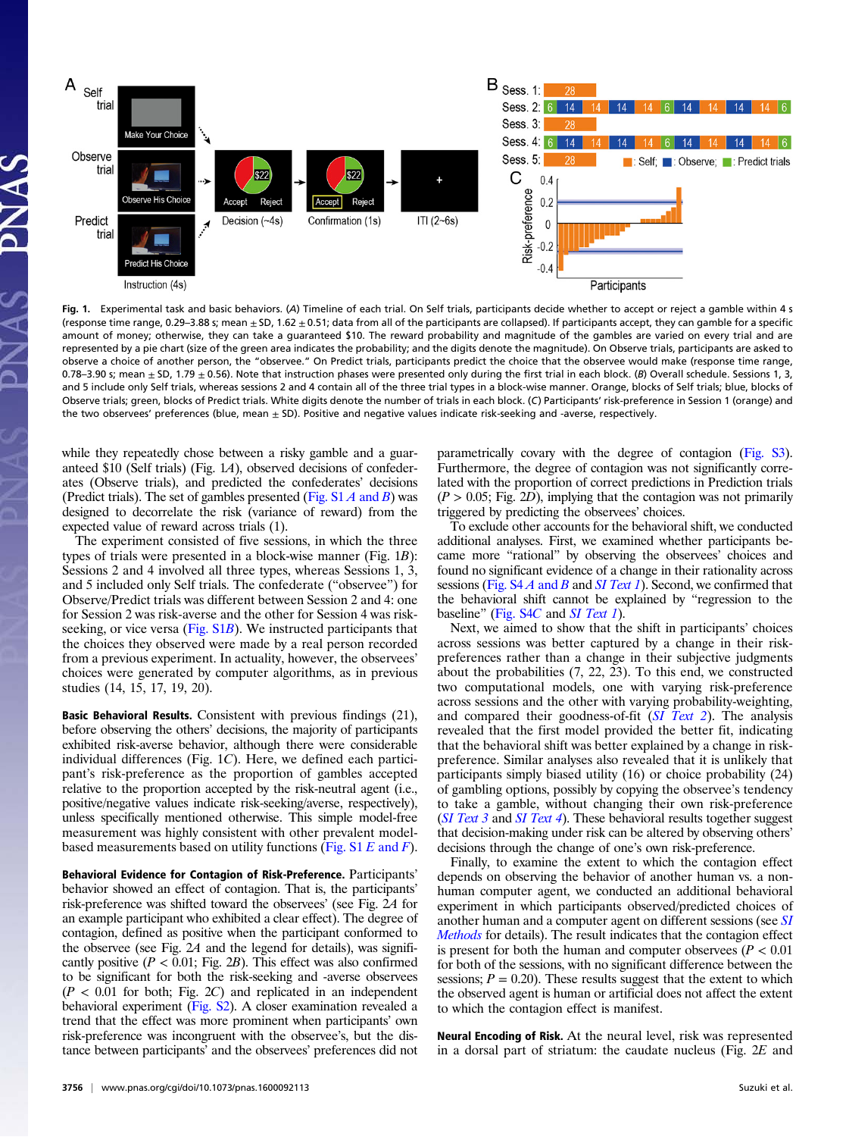

Fig. 1. Experimental task and basic behaviors. (A) Timeline of each trial. On Self trials, participants decide whether to accept or reject a gamble within 4 s (response time range, 0.29–3.88 s; mean  $\pm$  SD, 1.62  $\pm$  0.51; data from all of the participants are collapsed). If participants accept, they can gamble for a specific amount of money; otherwise, they can take a guaranteed \$10. The reward probability and magnitude of the gambles are varied on every trial and are represented by a pie chart (size of the green area indicates the probability; and the digits denote the magnitude). On Observe trials, participants are asked to observe a choice of another person, the "observee." On Predict trials, participants predict the choice that the observee would make (response time range, 0.78-3.90 s; mean  $\pm$  SD, 1.79  $\pm$  0.56). Note that instruction phases were presented only during the first trial in each block. (B) Overall schedule. Sessions 1, 3, and 5 include only Self trials, whereas sessions 2 and 4 contain all of the three trial types in a block-wise manner. Orange, blocks of Self trials; blue, blocks of Observe trials; green, blocks of Predict trials. White digits denote the number of trials in each block. (C) Participants' risk-preference in Session 1 (orange) and the two observees' preferences (blue, mean  $\pm$  SD). Positive and negative values indicate risk-seeking and -averse, respectively.

while they repeatedly chose between a risky gamble and a guaranteed \$10 (Self trials) (Fig. 1A), observed decisions of confederates (Observe trials), and predicted the confederates' decisions (Predict trials). The set of gambles presented (Fig.  $S1A$  and B) was designed to decorrelate the risk (variance of reward) from the expected value of reward across trials (1).

The experiment consisted of five sessions, in which the three types of trials were presented in a block-wise manner (Fig. 1B): Sessions 2 and 4 involved all three types, whereas Sessions 1, 3, and 5 included only Self trials. The confederate ("observee") for Observe/Predict trials was different between Session 2 and 4: one for Session 2 was risk-averse and the other for Session 4 was riskseeking, or vice versa ( $Fig. S1B$ ). We instructed participants that the choices they observed were made by a real person recorded from a previous experiment. In actuality, however, the observees' choices were generated by computer algorithms, as in previous studies (14, 15, 17, 19, 20).

Basic Behavioral Results. Consistent with previous findings (21), before observing the others' decisions, the majority of participants exhibited risk-averse behavior, although there were considerable individual differences (Fig. 1C). Here, we defined each participant's risk-preference as the proportion of gambles accepted relative to the proportion accepted by the risk-neutral agent (i.e., positive/negative values indicate risk-seeking/averse, respectively), unless specifically mentioned otherwise. This simple model-free measurement was highly consistent with other prevalent modelbased measurements based on utility functions (Fig.  $S1 E$  and F).

Behavioral Evidence for Contagion of Risk-Preference. Participants' behavior showed an effect of contagion. That is, the participants' risk-preference was shifted toward the observees' (see Fig. 2A for an example participant who exhibited a clear effect). The degree of contagion, defined as positive when the participant conformed to the observee (see Fig. 2A and the legend for details), was significantly positive ( $P < 0.01$ ; Fig. 2B). This effect was also confirmed to be significant for both the risk-seeking and -averse observees  $(P < 0.01$  for both; Fig. 2C) and replicated in an independent behavioral experiment [\(Fig. S2](http://www.pnas.org/lookup/suppl/doi:10.1073/pnas.1600092113/-/DCSupplemental/pnas.201600092SI.pdf?targetid=nameddest=SF2)). A closer examination revealed a trend that the effect was more prominent when participants' own risk-preference was incongruent with the observee's, but the distance between participants' and the observees' preferences did not

parametrically covary with the degree of contagion ([Fig. S3](http://www.pnas.org/lookup/suppl/doi:10.1073/pnas.1600092113/-/DCSupplemental/pnas.201600092SI.pdf?targetid=nameddest=SF3)). Furthermore, the degree of contagion was not significantly correlated with the proportion of correct predictions in Prediction trials  $(P > 0.05; Fig. 2D)$ , implying that the contagion was not primarily triggered by predicting the observees' choices.

To exclude other accounts for the behavioral shift, we conducted additional analyses. First, we examined whether participants became more "rational" by observing the observees' choices and found no significant evidence of a change in their rationality across sessions (Fig.  $S4A$  and B and [SI Text 1](http://www.pnas.org/lookup/suppl/doi:10.1073/pnas.1600092113/-/DCSupplemental/pnas.201600092SI.pdf?targetid=nameddest=STXT)). Second, we confirmed that the behavioral shift cannot be explained by "regression to the baseline" [\(Fig. S4](http://www.pnas.org/lookup/suppl/doi:10.1073/pnas.1600092113/-/DCSupplemental/pnas.201600092SI.pdf?targetid=nameddest=SF4)C and [SI Text 1](http://www.pnas.org/lookup/suppl/doi:10.1073/pnas.1600092113/-/DCSupplemental/pnas.201600092SI.pdf?targetid=nameddest=STXT)).

Next, we aimed to show that the shift in participants' choices across sessions was better captured by a change in their riskpreferences rather than a change in their subjective judgments about the probabilities (7, 22, 23). To this end, we constructed two computational models, one with varying risk-preference across sessions and the other with varying probability-weighting, and compared their goodness-of-fit ([SI Text 2](http://www.pnas.org/lookup/suppl/doi:10.1073/pnas.1600092113/-/DCSupplemental/pnas.201600092SI.pdf?targetid=nameddest=STXT)). The analysis revealed that the first model provided the better fit, indicating that the behavioral shift was better explained by a change in riskpreference. Similar analyses also revealed that it is unlikely that participants simply biased utility (16) or choice probability (24) of gambling options, possibly by copying the observee's tendency to take a gamble, without changing their own risk-preference ([SI Text 3](http://www.pnas.org/lookup/suppl/doi:10.1073/pnas.1600092113/-/DCSupplemental/pnas.201600092SI.pdf?targetid=nameddest=STXT) and [SI Text 4](http://www.pnas.org/lookup/suppl/doi:10.1073/pnas.1600092113/-/DCSupplemental/pnas.201600092SI.pdf?targetid=nameddest=STXT)). These behavioral results together suggest that decision-making under risk can be altered by observing others' decisions through the change of one's own risk-preference.

Finally, to examine the extent to which the contagion effect depends on observing the behavior of another human vs. a nonhuman computer agent, we conducted an additional behavioral experiment in which participants observed/predicted choices of another human and a computer agent on different sessions (see [SI](http://www.pnas.org/lookup/suppl/doi:10.1073/pnas.1600092113/-/DCSupplemental/pnas.201600092SI.pdf?targetid=nameddest=STXT) [Methods](http://www.pnas.org/lookup/suppl/doi:10.1073/pnas.1600092113/-/DCSupplemental/pnas.201600092SI.pdf?targetid=nameddest=STXT) for details). The result indicates that the contagion effect is present for both the human and computer observees ( $P < 0.01$ ) for both of the sessions, with no significant difference between the sessions;  $P = 0.20$ ). These results suggest that the extent to which the observed agent is human or artificial does not affect the extent to which the contagion effect is manifest.

Neural Encoding of Risk. At the neural level, risk was represented in a dorsal part of striatum: the caudate nucleus (Fig. 2E and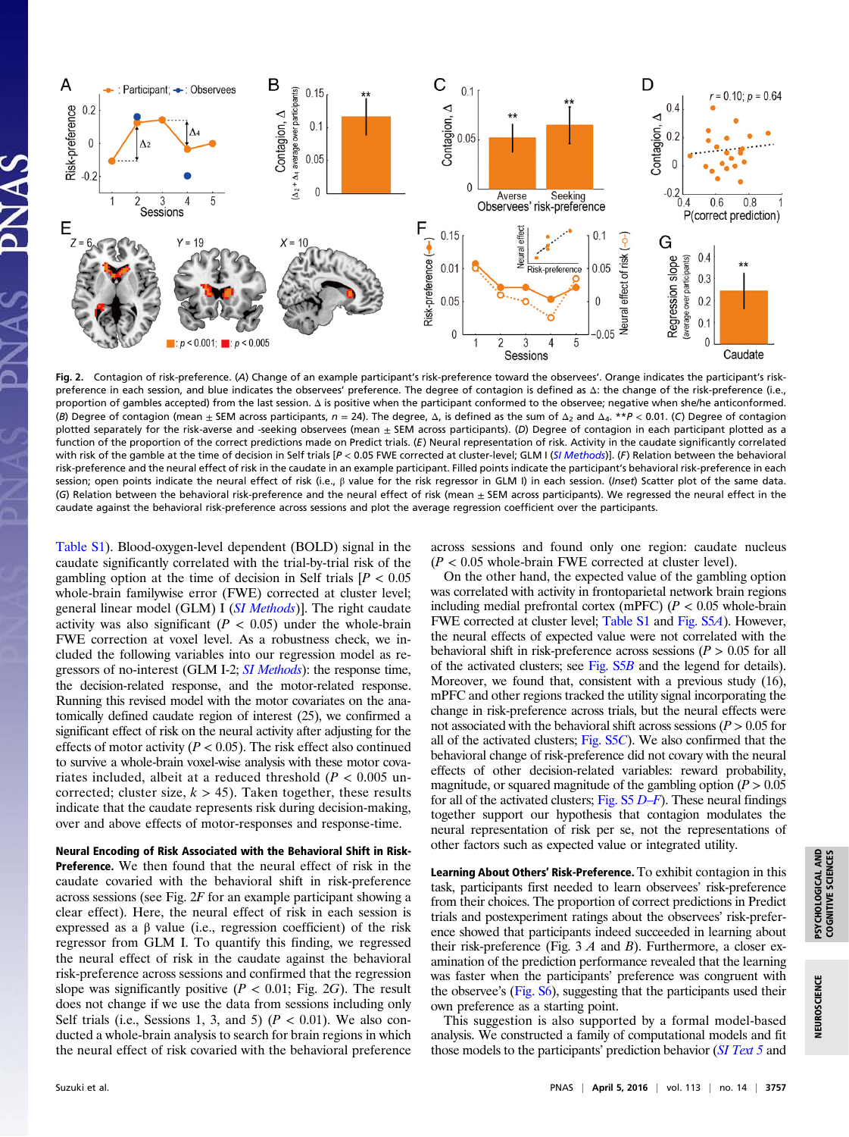

Fig. 2. Contagion of risk-preference. (A) Change of an example participant's risk-preference toward the observees'. Orange indicates the participant's riskpreference in each session, and blue indicates the observees' preference. The degree of contagion is defined as Δ: the change of the risk-preference (i.e., proportion of gambles accepted) from the last session. Δ is positive when the participant conformed to the observee; negative when she/he anticonformed. (B) Degree of contagion (mean  $\pm$  SEM across participants, n = 24). The degree,  $\Delta$ , is defined as the sum of  $\Delta_2$  and  $\Delta_4$ . \*\*P < 0.01. (C) Degree of contagion plotted separately for the risk-averse and -seeking observees (mean ± SEM across participants). (D) Degree of contagion in each participant plotted as a function of the proportion of the correct predictions made on Predict trials. (E) Neural representation of risk. Activity in the caudate significantly correlated with risk of the gamble at the time of decision in Self trials [P < 0.05 FWE corrected at cluster-level; GLM I ([SI Methods](http://www.pnas.org/lookup/suppl/doi:10.1073/pnas.1600092113/-/DCSupplemental/pnas.201600092SI.pdf?targetid=nameddest=STXT))]. (F) Relation between the behavioral risk-preference and the neural effect of risk in the caudate in an example participant. Filled points indicate the participant's behavioral risk-preference in each session; open points indicate the neural effect of risk (i.e., β value for the risk regressor in GLM I) in each session. (Inset) Scatter plot of the same data. (G) Relation between the behavioral risk-preference and the neural effect of risk (mean  $\pm$  SEM across participants). We regressed the neural effect in the caudate against the behavioral risk-preference across sessions and plot the average regression coefficient over the participants.

[Table S1\)](http://www.pnas.org/lookup/suppl/doi:10.1073/pnas.1600092113/-/DCSupplemental/pnas.201600092SI.pdf?targetid=nameddest=ST1). Blood-oxygen-level dependent (BOLD) signal in the caudate significantly correlated with the trial-by-trial risk of the gambling option at the time of decision in Self trials  $[P < 0.05]$ whole-brain familywise error (FWE) corrected at cluster level; general linear model (GLM) I ([SI Methods](http://www.pnas.org/lookup/suppl/doi:10.1073/pnas.1600092113/-/DCSupplemental/pnas.201600092SI.pdf?targetid=nameddest=STXT)). The right caudate activity was also significant ( $P < 0.05$ ) under the whole-brain FWE correction at voxel level. As a robustness check, we included the following variables into our regression model as re-gressors of no-interest (GLM I-2; [SI Methods](http://www.pnas.org/lookup/suppl/doi:10.1073/pnas.1600092113/-/DCSupplemental/pnas.201600092SI.pdf?targetid=nameddest=STXT)): the response time, the decision-related response, and the motor-related response. Running this revised model with the motor covariates on the anatomically defined caudate region of interest (25), we confirmed a significant effect of risk on the neural activity after adjusting for the effects of motor activity ( $P < 0.05$ ). The risk effect also continued to survive a whole-brain voxel-wise analysis with these motor covariates included, albeit at a reduced threshold ( $P < 0.005$  uncorrected; cluster size,  $k > 45$ ). Taken together, these results indicate that the caudate represents risk during decision-making, over and above effects of motor-responses and response-time.

# Neural Encoding of Risk Associated with the Behavioral Shift in Risk-

Preference. We then found that the neural effect of risk in the caudate covaried with the behavioral shift in risk-preference across sessions (see Fig. 2F for an example participant showing a clear effect). Here, the neural effect of risk in each session is expressed as a β value (i.e., regression coefficient) of the risk regressor from GLM I. To quantify this finding, we regressed the neural effect of risk in the caudate against the behavioral risk-preference across sessions and confirmed that the regression slope was significantly positive ( $P < 0.01$ ; Fig. 2G). The result does not change if we use the data from sessions including only Self trials (i.e., Sessions 1, 3, and 5) ( $P < 0.01$ ). We also conducted a whole-brain analysis to search for brain regions in which the neural effect of risk covaried with the behavioral preference

across sessions and found only one region: caudate nucleus  $(P < 0.05$  whole-brain FWE corrected at cluster level).

On the other hand, the expected value of the gambling option was correlated with activity in frontoparietal network brain regions including medial prefrontal cortex (mPFC) ( $P < 0.05$  whole-brain FWE corrected at cluster level; [Table S1](http://www.pnas.org/lookup/suppl/doi:10.1073/pnas.1600092113/-/DCSupplemental/pnas.201600092SI.pdf?targetid=nameddest=ST1) and [Fig. S5](http://www.pnas.org/lookup/suppl/doi:10.1073/pnas.1600092113/-/DCSupplemental/pnas.201600092SI.pdf?targetid=nameddest=SF5)A). However, the neural effects of expected value were not correlated with the behavioral shift in risk-preference across sessions ( $P > 0.05$  for all of the activated clusters; see [Fig. S5](http://www.pnas.org/lookup/suppl/doi:10.1073/pnas.1600092113/-/DCSupplemental/pnas.201600092SI.pdf?targetid=nameddest=SF5)B and the legend for details). Moreover, we found that, consistent with a previous study (16), mPFC and other regions tracked the utility signal incorporating the change in risk-preference across trials, but the neural effects were not associated with the behavioral shift across sessions ( $P > 0.05$  for all of the activated clusters; [Fig. S5](http://www.pnas.org/lookup/suppl/doi:10.1073/pnas.1600092113/-/DCSupplemental/pnas.201600092SI.pdf?targetid=nameddest=SF5)C). We also confirmed that the behavioral change of risk-preference did not covary with the neural effects of other decision-related variables: reward probability, magnitude, or squared magnitude of the gambling option ( $P > 0.05$ ) for all of the activated clusters; [F](http://www.pnas.org/lookup/suppl/doi:10.1073/pnas.1600092113/-/DCSupplemental/pnas.201600092SI.pdf?targetid=nameddest=SF5)ig.  $S5 D-F$ ). These neural findings together support our hypothesis that contagion modulates the neural representation of risk per se, not the representations of other factors such as expected value or integrated utility.

Learning About Others' Risk-Preference. To exhibit contagion in this task, participants first needed to learn observees' risk-preference from their choices. The proportion of correct predictions in Predict trials and postexperiment ratings about the observees' risk-preference showed that participants indeed succeeded in learning about their risk-preference (Fig.  $3 \text{ } A$  and  $B$ ). Furthermore, a closer examination of the prediction performance revealed that the learning was faster when the participants' preference was congruent with the observee's ([Fig. S6](http://www.pnas.org/lookup/suppl/doi:10.1073/pnas.1600092113/-/DCSupplemental/pnas.201600092SI.pdf?targetid=nameddest=SF6)), suggesting that the participants used their own preference as a starting point.

This suggestion is also supported by a formal model-based analysis. We constructed a family of computational models and fit those models to the participants' prediction behavior ([SI Text 5](http://www.pnas.org/lookup/suppl/doi:10.1073/pnas.1600092113/-/DCSupplemental/pnas.201600092SI.pdf?targetid=nameddest=STXT) and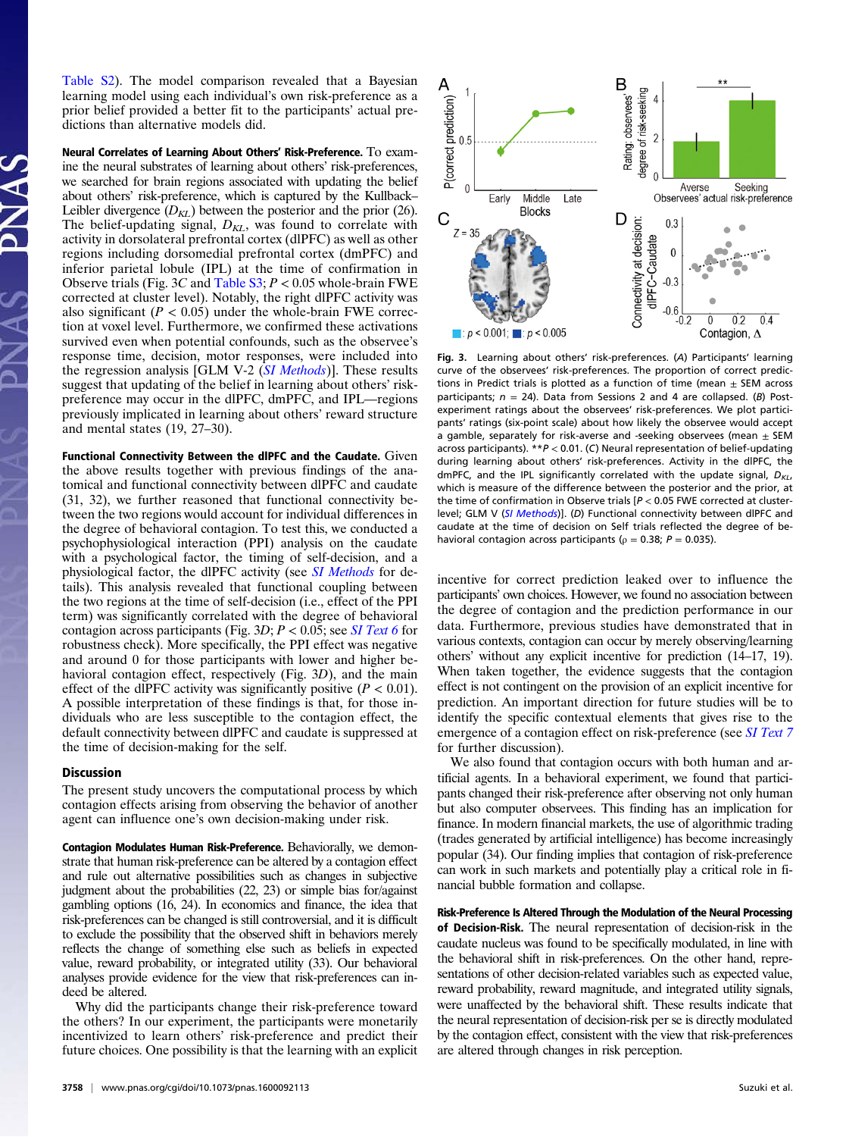[Table S2\)](http://www.pnas.org/lookup/suppl/doi:10.1073/pnas.1600092113/-/DCSupplemental/pnas.201600092SI.pdf?targetid=nameddest=ST2). The model comparison revealed that a Bayesian learning model using each individual's own risk-preference as a prior belief provided a better fit to the participants' actual predictions than alternative models did.

Neural Correlates of Learning About Others' Risk-Preference. To examine the neural substrates of learning about others' risk-preferences, we searched for brain regions associated with updating the belief about others' risk-preference, which is captured by the Kullback– Leibler divergence  $(D_{KL})$  between the posterior and the prior (26). The belief-updating signal,  $D_{KL}$ , was found to correlate with activity in dorsolateral prefrontal cortex (dlPFC) as well as other regions including dorsomedial prefrontal cortex (dmPFC) and inferior parietal lobule (IPL) at the time of confirmation in Observe trials (Fig. 3C and Table  $S3$ ;  $P < 0.05$  whole-brain FWE corrected at cluster level). Notably, the right dlPFC activity was also significant ( $P < 0.05$ ) under the whole-brain FWE correction at voxel level. Furthermore, we confirmed these activations survived even when potential confounds, such as the observee's response time, decision, motor responses, were included into the regression analysis [GLM V-2 ([SI Methods](http://www.pnas.org/lookup/suppl/doi:10.1073/pnas.1600092113/-/DCSupplemental/pnas.201600092SI.pdf?targetid=nameddest=STXT))]. These results suggest that updating of the belief in learning about others' riskpreference may occur in the dlPFC, dmPFC, and IPL—regions previously implicated in learning about others' reward structure and mental states (19, 27–30).

Functional Connectivity Between the dlPFC and the Caudate. Given the above results together with previous findings of the anatomical and functional connectivity between dlPFC and caudate (31, 32), we further reasoned that functional connectivity between the two regions would account for individual differences in the degree of behavioral contagion. To test this, we conducted a psychophysiological interaction (PPI) analysis on the caudate with a psychological factor, the timing of self-decision, and a physiological factor, the dlPFC activity (see [SI Methods](http://www.pnas.org/lookup/suppl/doi:10.1073/pnas.1600092113/-/DCSupplemental/pnas.201600092SI.pdf?targetid=nameddest=STXT) for details). This analysis revealed that functional coupling between the two regions at the time of self-decision (i.e., effect of the PPI term) was significantly correlated with the degree of behavioral contagion across participants (Fig. 3D;  $P < 0.05$ ; see *[SI Text 6](http://www.pnas.org/lookup/suppl/doi:10.1073/pnas.1600092113/-/DCSupplemental/pnas.201600092SI.pdf?targetid=nameddest=STXT)* for robustness check). More specifically, the PPI effect was negative and around 0 for those participants with lower and higher behavioral contagion effect, respectively (Fig. 3D), and the main effect of the dlPFC activity was significantly positive  $(P < 0.01)$ . A possible interpretation of these findings is that, for those individuals who are less susceptible to the contagion effect, the default connectivity between dlPFC and caudate is suppressed at the time of decision-making for the self.

## Discussion

The present study uncovers the computational process by which contagion effects arising from observing the behavior of another agent can influence one's own decision-making under risk.

Contagion Modulates Human Risk-Preference. Behaviorally, we demonstrate that human risk-preference can be altered by a contagion effect and rule out alternative possibilities such as changes in subjective judgment about the probabilities (22, 23) or simple bias for/against gambling options (16, 24). In economics and finance, the idea that risk-preferences can be changed is still controversial, and it is difficult to exclude the possibility that the observed shift in behaviors merely reflects the change of something else such as beliefs in expected value, reward probability, or integrated utility (33). Our behavioral analyses provide evidence for the view that risk-preferences can indeed be altered.

Why did the participants change their risk-preference toward the others? In our experiment, the participants were monetarily incentivized to learn others' risk-preference and predict their future choices. One possibility is that the learning with an explicit



Fig. 3. Learning about others' risk-preferences. (A) Participants' learning curve of the observees' risk-preferences. The proportion of correct predictions in Predict trials is plotted as a function of time (mean  $\pm$  SEM across participants;  $n = 24$ ). Data from Sessions 2 and 4 are collapsed. (B) Postexperiment ratings about the observees' risk-preferences. We plot participants' ratings (six-point scale) about how likely the observee would accept a gamble, separately for risk-averse and -seeking observees (mean  $\pm$  SEM across participants).  $*P < 0.01$ . (C) Neural representation of belief-updating during learning about others' risk-preferences. Activity in the dlPFC, the dmPFC, and the IPL significantly correlated with the update signal,  $D_{KL}$ which is measure of the difference between the posterior and the prior, at the time of confirmation in Observe trials [P < 0.05 FWE corrected at cluster-level; GLM V ([SI Methods](http://www.pnas.org/lookup/suppl/doi:10.1073/pnas.1600092113/-/DCSupplemental/pnas.201600092SI.pdf?targetid=nameddest=STXT))]. (D) Functional connectivity between dlPFC and caudate at the time of decision on Self trials reflected the degree of behavioral contagion across participants ( $ρ = 0.38$ ;  $P = 0.035$ ).

incentive for correct prediction leaked over to influence the participants' own choices. However, we found no association between the degree of contagion and the prediction performance in our data. Furthermore, previous studies have demonstrated that in various contexts, contagion can occur by merely observing/learning others' without any explicit incentive for prediction (14–17, 19). When taken together, the evidence suggests that the contagion effect is not contingent on the provision of an explicit incentive for prediction. An important direction for future studies will be to identify the specific contextual elements that gives rise to the emergence of a contagion effect on risk-preference (see *SI Text* 7 for further discussion).

We also found that contagion occurs with both human and artificial agents. In a behavioral experiment, we found that participants changed their risk-preference after observing not only human but also computer observees. This finding has an implication for finance. In modern financial markets, the use of algorithmic trading (trades generated by artificial intelligence) has become increasingly popular (34). Our finding implies that contagion of risk-preference can work in such markets and potentially play a critical role in financial bubble formation and collapse.

Risk-Preference Is Altered Through the Modulation of the Neural Processing of Decision-Risk. The neural representation of decision-risk in the caudate nucleus was found to be specifically modulated, in line with the behavioral shift in risk-preferences. On the other hand, representations of other decision-related variables such as expected value, reward probability, reward magnitude, and integrated utility signals, were unaffected by the behavioral shift. These results indicate that the neural representation of decision-risk per se is directly modulated by the contagion effect, consistent with the view that risk-preferences are altered through changes in risk perception.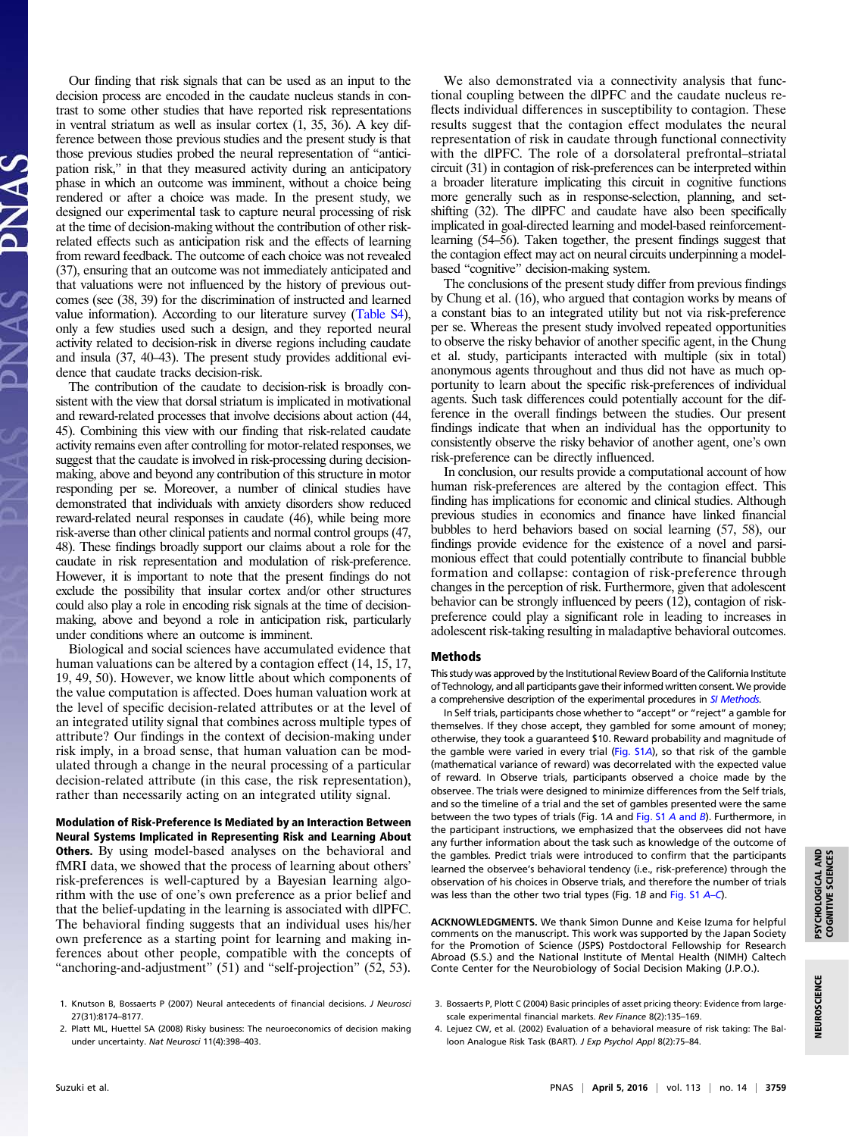Our finding that risk signals that can be used as an input to the decision process are encoded in the caudate nucleus stands in contrast to some other studies that have reported risk representations in ventral striatum as well as insular cortex (1, 35, 36). A key difference between those previous studies and the present study is that those previous studies probed the neural representation of "anticipation risk," in that they measured activity during an anticipatory phase in which an outcome was imminent, without a choice being rendered or after a choice was made. In the present study, we designed our experimental task to capture neural processing of risk at the time of decision-making without the contribution of other riskrelated effects such as anticipation risk and the effects of learning from reward feedback. The outcome of each choice was not revealed (37), ensuring that an outcome was not immediately anticipated and that valuations were not influenced by the history of previous outcomes (see (38, 39) for the discrimination of instructed and learned value information). According to our literature survey [\(Table S4](http://www.pnas.org/lookup/suppl/doi:10.1073/pnas.1600092113/-/DCSupplemental/pnas.201600092SI.pdf?targetid=nameddest=ST4)), only a few studies used such a design, and they reported neural activity related to decision-risk in diverse regions including caudate and insula (37, 40–43). The present study provides additional evidence that caudate tracks decision-risk.

The contribution of the caudate to decision-risk is broadly consistent with the view that dorsal striatum is implicated in motivational and reward-related processes that involve decisions about action (44, 45). Combining this view with our finding that risk-related caudate activity remains even after controlling for motor-related responses, we suggest that the caudate is involved in risk-processing during decisionmaking, above and beyond any contribution of this structure in motor responding per se. Moreover, a number of clinical studies have demonstrated that individuals with anxiety disorders show reduced reward-related neural responses in caudate (46), while being more risk-averse than other clinical patients and normal control groups (47, 48). These findings broadly support our claims about a role for the caudate in risk representation and modulation of risk-preference. However, it is important to note that the present findings do not exclude the possibility that insular cortex and/or other structures could also play a role in encoding risk signals at the time of decisionmaking, above and beyond a role in anticipation risk, particularly under conditions where an outcome is imminent.

Biological and social sciences have accumulated evidence that human valuations can be altered by a contagion effect (14, 15, 17, 19, 49, 50). However, we know little about which components of the value computation is affected. Does human valuation work at the level of specific decision-related attributes or at the level of an integrated utility signal that combines across multiple types of attribute? Our findings in the context of decision-making under risk imply, in a broad sense, that human valuation can be modulated through a change in the neural processing of a particular decision-related attribute (in this case, the risk representation), rather than necessarily acting on an integrated utility signal.

Modulation of Risk-Preference Is Mediated by an Interaction Between Neural Systems Implicated in Representing Risk and Learning About Others. By using model-based analyses on the behavioral and fMRI data, we showed that the process of learning about others' risk-preferences is well-captured by a Bayesian learning algorithm with the use of one's own preference as a prior belief and that the belief-updating in the learning is associated with dlPFC. The behavioral finding suggests that an individual uses his/her own preference as a starting point for learning and making inferences about other people, compatible with the concepts of "anchoring-and-adjustment" (51) and "self-projection" (52, 53).

- 1. Knutson B, Bossaerts P (2007) Neural antecedents of financial decisions. J Neurosci 27(31):8174–8177.
- 2. Platt ML, Huettel SA (2008) Risky business: The neuroeconomics of decision making under uncertainty. Nat Neurosci 11(4):398–403.

We also demonstrated via a connectivity analysis that functional coupling between the dlPFC and the caudate nucleus reflects individual differences in susceptibility to contagion. These results suggest that the contagion effect modulates the neural representation of risk in caudate through functional connectivity with the dlPFC. The role of a dorsolateral prefrontal–striatal circuit (31) in contagion of risk-preferences can be interpreted within a broader literature implicating this circuit in cognitive functions more generally such as in response-selection, planning, and setshifting (32). The dlPFC and caudate have also been specifically implicated in goal-directed learning and model-based reinforcementlearning (54–56). Taken together, the present findings suggest that the contagion effect may act on neural circuits underpinning a modelbased "cognitive" decision-making system.

The conclusions of the present study differ from previous findings by Chung et al. (16), who argued that contagion works by means of a constant bias to an integrated utility but not via risk-preference per se. Whereas the present study involved repeated opportunities to observe the risky behavior of another specific agent, in the Chung et al. study, participants interacted with multiple (six in total) anonymous agents throughout and thus did not have as much opportunity to learn about the specific risk-preferences of individual agents. Such task differences could potentially account for the difference in the overall findings between the studies. Our present findings indicate that when an individual has the opportunity to consistently observe the risky behavior of another agent, one's own risk-preference can be directly influenced.

In conclusion, our results provide a computational account of how human risk-preferences are altered by the contagion effect. This finding has implications for economic and clinical studies. Although previous studies in economics and finance have linked financial bubbles to herd behaviors based on social learning (57, 58), our findings provide evidence for the existence of a novel and parsimonious effect that could potentially contribute to financial bubble formation and collapse: contagion of risk-preference through changes in the perception of risk. Furthermore, given that adolescent behavior can be strongly influenced by peers (12), contagion of riskpreference could play a significant role in leading to increases in adolescent risk-taking resulting in maladaptive behavioral outcomes.

### Methods

This study was approved by the Institutional Review Board of the California Institute of Technology, and all participants gave their informed written consent.We provide a comprehensive description of the experimental procedures in [SI Methods](http://www.pnas.org/lookup/suppl/doi:10.1073/pnas.1600092113/-/DCSupplemental/pnas.201600092SI.pdf?targetid=nameddest=STXT).

In Self trials, participants chose whether to "accept" or "reject" a gamble for themselves. If they chose accept, they gambled for some amount of money; otherwise, they took a guaranteed \$10. Reward probability and magnitude of the gamble were varied in every trial ([Fig. S1](http://www.pnas.org/lookup/suppl/doi:10.1073/pnas.1600092113/-/DCSupplemental/pnas.201600092SI.pdf?targetid=nameddest=SF1)A), so that risk of the gamble (mathematical variance of reward) was decorrelated with the expected value of reward. In Observe trials, participants observed a choice made by the observee. The trials were designed to minimize differences from the Self trials, and so the timeline of a trial and the set of gambles presented were the same between the two types of trials (Fig. 1A and [Fig. S1](http://www.pnas.org/lookup/suppl/doi:10.1073/pnas.1600092113/-/DCSupplemental/pnas.201600092SI.pdf?targetid=nameddest=SF1) A and B). Furthermore, in the participant instructions, we emphasized that the observees did not have any further information about the task such as knowledge of the outcome of the gambles. Predict trials were introduced to confirm that the participants learned the observee's behavioral tendency (i.e., risk-preference) through the observation of his choices in Observe trials, and therefore the number of trials was less than the other two trial types (Fig. 1B and [Fig. S1](http://www.pnas.org/lookup/suppl/doi:10.1073/pnas.1600092113/-/DCSupplemental/pnas.201600092SI.pdf?targetid=nameddest=SF1) A–[C](http://www.pnas.org/lookup/suppl/doi:10.1073/pnas.1600092113/-/DCSupplemental/pnas.201600092SI.pdf?targetid=nameddest=SF1)).

ACKNOWLEDGMENTS. We thank Simon Dunne and Keise Izuma for helpful comments on the manuscript. This work was supported by the Japan Society for the Promotion of Science (JSPS) Postdoctoral Fellowship for Research Abroad (S.S.) and the National Institute of Mental Health (NIMH) Caltech Conte Center for the Neurobiology of Social Decision Making (J.P.O.).

- 3. Bossaerts P, Plott C (2004) Basic principles of asset pricing theory: Evidence from largescale experimental financial markets. Rev Finance 8(2):135–169.
- 4. Lejuez CW, et al. (2002) Evaluation of a behavioral measure of risk taking: The Balloon Analogue Risk Task (BART). J Exp Psychol Appl 8(2):75–84.

NEUROSCIENCE

NEUROSCIENCE